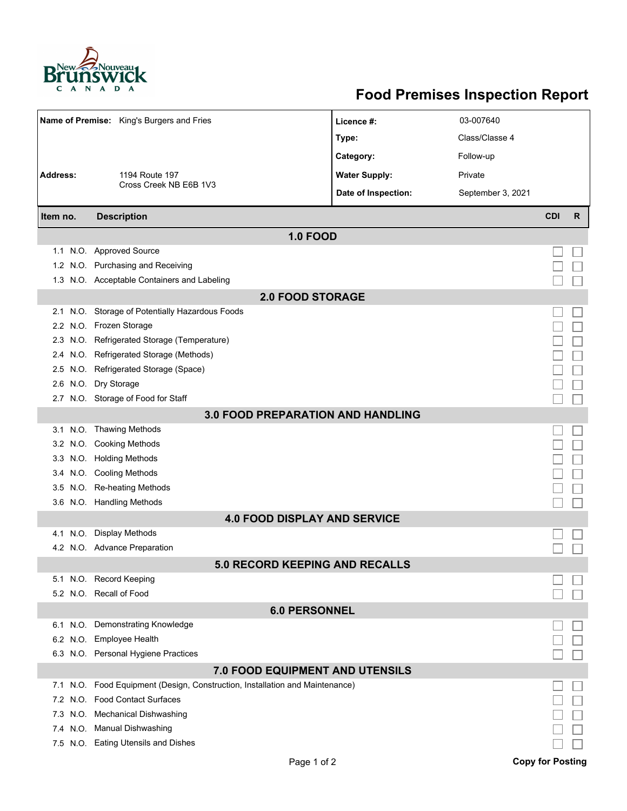

## **Food Premises Inspection Report**

| Name of Premise: King's Burgers and Fries |                                                                          | Licence #:           | 03-007640         |            |   |  |  |  |  |
|-------------------------------------------|--------------------------------------------------------------------------|----------------------|-------------------|------------|---|--|--|--|--|
|                                           |                                                                          | Type:                | Class/Classe 4    |            |   |  |  |  |  |
|                                           |                                                                          | Category:            | Follow-up         |            |   |  |  |  |  |
|                                           |                                                                          |                      |                   |            |   |  |  |  |  |
| <b>Address:</b>                           | 1194 Route 197<br>Cross Creek NB E6B 1V3                                 | <b>Water Supply:</b> | Private           |            |   |  |  |  |  |
|                                           |                                                                          | Date of Inspection:  | September 3, 2021 |            |   |  |  |  |  |
| Item no.                                  | <b>Description</b>                                                       |                      |                   | <b>CDI</b> | R |  |  |  |  |
| <b>1.0 FOOD</b>                           |                                                                          |                      |                   |            |   |  |  |  |  |
|                                           | 1.1 N.O. Approved Source                                                 |                      |                   |            |   |  |  |  |  |
|                                           | 1.2 N.O. Purchasing and Receiving                                        |                      |                   |            |   |  |  |  |  |
|                                           | 1.3 N.O. Acceptable Containers and Labeling                              |                      |                   |            |   |  |  |  |  |
| <b>2.0 FOOD STORAGE</b>                   |                                                                          |                      |                   |            |   |  |  |  |  |
| 2.1                                       | N.O. Storage of Potentially Hazardous Foods                              |                      |                   |            |   |  |  |  |  |
|                                           | 2.2 N.O. Frozen Storage                                                  |                      |                   |            |   |  |  |  |  |
| 2.3                                       | N.O. Refrigerated Storage (Temperature)                                  |                      |                   |            |   |  |  |  |  |
|                                           | 2.4 N.O. Refrigerated Storage (Methods)                                  |                      |                   |            |   |  |  |  |  |
|                                           | 2.5 N.O. Refrigerated Storage (Space)                                    |                      |                   |            |   |  |  |  |  |
| 2.6                                       | N.O. Dry Storage                                                         |                      |                   |            |   |  |  |  |  |
|                                           | 2.7 N.O. Storage of Food for Staff                                       |                      |                   |            |   |  |  |  |  |
| <b>3.0 FOOD PREPARATION AND HANDLING</b>  |                                                                          |                      |                   |            |   |  |  |  |  |
|                                           | 3.1 N.O. Thawing Methods                                                 |                      |                   |            |   |  |  |  |  |
|                                           | 3.2 N.O. Cooking Methods                                                 |                      |                   |            |   |  |  |  |  |
|                                           | 3.3 N.O. Holding Methods                                                 |                      |                   |            |   |  |  |  |  |
|                                           | 3.4 N.O. Cooling Methods                                                 |                      |                   |            |   |  |  |  |  |
| 3.5                                       | N.O. Re-heating Methods                                                  |                      |                   |            |   |  |  |  |  |
|                                           | 3.6 N.O. Handling Methods                                                |                      |                   |            |   |  |  |  |  |
|                                           | <b>4.0 FOOD DISPLAY AND SERVICE</b>                                      |                      |                   |            |   |  |  |  |  |
| N.O.<br>4.1                               | <b>Display Methods</b>                                                   |                      |                   |            |   |  |  |  |  |
|                                           | 4.2 N.O. Advance Preparation                                             |                      |                   |            |   |  |  |  |  |
|                                           | <b>5.0 RECORD KEEPING AND RECALLS</b>                                    |                      |                   |            |   |  |  |  |  |
|                                           | 5.1 N.O. Record Keeping                                                  |                      |                   |            |   |  |  |  |  |
|                                           | 5.2 N.O. Recall of Food                                                  |                      |                   |            |   |  |  |  |  |
| <b>6.0 PERSONNEL</b>                      |                                                                          |                      |                   |            |   |  |  |  |  |
|                                           | 6.1 N.O. Demonstrating Knowledge                                         |                      |                   |            |   |  |  |  |  |
|                                           | 6.2 N.O. Employee Health                                                 |                      |                   |            |   |  |  |  |  |
|                                           | 6.3 N.O. Personal Hygiene Practices                                      |                      |                   |            |   |  |  |  |  |
| <b>7.0 FOOD EQUIPMENT AND UTENSILS</b>    |                                                                          |                      |                   |            |   |  |  |  |  |
| 7.1                                       | N.O. Food Equipment (Design, Construction, Installation and Maintenance) |                      |                   |            |   |  |  |  |  |
| 7.2                                       | N.O. Food Contact Surfaces                                               |                      |                   |            |   |  |  |  |  |
| 7.3                                       | N.O. Mechanical Dishwashing                                              |                      |                   |            |   |  |  |  |  |
|                                           | 7.4 N.O. Manual Dishwashing                                              |                      |                   |            |   |  |  |  |  |
|                                           | 7.5 N.O. Eating Utensils and Dishes                                      |                      |                   |            |   |  |  |  |  |